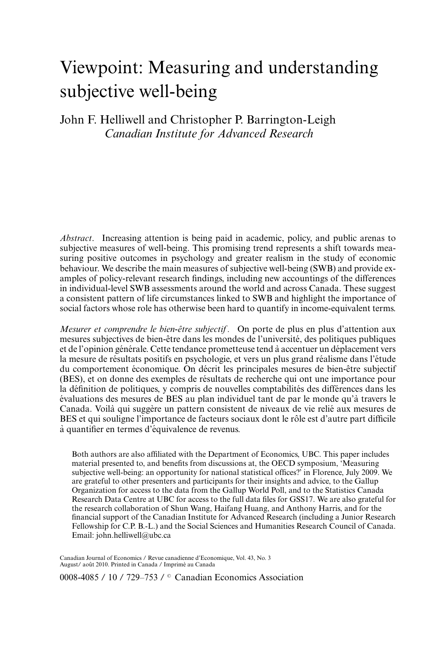# Viewpoint: Measuring and understanding subjective well-being

# John F. Helliwell and Christopher P. Barrington-Leigh *Canadian Institute for Advanced Research*

*Abstract*. Increasing attention is being paid in academic, policy, and public arenas to subjective measures of well-being. This promising trend represents a shift towards measuring positive outcomes in psychology and greater realism in the study of economic behaviour. We describe the main measures of subjective well-being (SWB) and provide examples of policy-relevant research findings, including new accountings of the differences in individual-level SWB assessments around the world and across Canada. These suggest a consistent pattern of life circumstances linked to SWB and highlight the importance of social factors whose role has otherwise been hard to quantify in income-equivalent terms.

*Mesurer et comprendre le bien-être subjectif.* On porte de plus en plus d'attention aux mesures subjectives de bien-être dans les mondes de l'université, des politiques publiques et de l'opinion générale. Cette tendance prometteuse tend à accentuer un déplacement vers la mesure de résultats positifs en psychologie, et vers un plus grand réalisme dans l'étude du comportement économique. On décrit les principales mesures de bien-être subjectif (BES), et on donne des exemples de resultats de recherche qui ont une importance pour ´ la définition de politiques, y compris de nouvelles comptabilités des différences dans les évaluations des mesures de BES au plan individuel tant de par le monde qu'à travers le Canada. Voilà qui suggère un pattern consistent de niveaux de vie relié aux mesures de BES et qui souligne l'importance de facteurs sociaux dont le rôle est d'autre part difficile à quantifier en termes d'équivalence de revenus.

Both authors are also affiliated with the Department of Economics, UBC. This paper includes material presented to, and benefits from discussions at, the OECD symposium, 'Measuring subjective well-being: an opportunity for national statistical offices?' in Florence, July 2009. We are grateful to other presenters and participants for their insights and advice, to the Gallup Organization for access to the data from the Gallup World Poll, and to the Statistics Canada Research Data Centre at UBC for access to the full data files for GSS17. We are also grateful for the research collaboration of Shun Wang, Haifang Huang, and Anthony Harris, and for the financial support of the Canadian Institute for Advanced Research (including a Junior Research Fellowship for C.P. B.-L.) and the Social Sciences and Humanities Research Council of Canada. Email: john.helliwell@ubc.ca

Canadian Journal of Economics / Revue canadienne d'Economique, Vol. 43, No. 3 August/ août 2010. Printed in Canada / Imprimé au Canada

0008-4085 / 10 / 729–753 / © Canadian Economics Association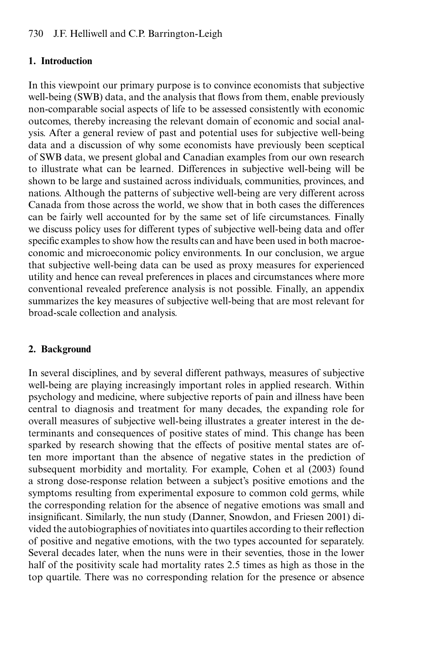# **1. Introduction**

In this viewpoint our primary purpose is to convince economists that subjective well-being (SWB) data, and the analysis that flows from them, enable previously non-comparable social aspects of life to be assessed consistently with economic outcomes, thereby increasing the relevant domain of economic and social analysis. After a general review of past and potential uses for subjective well-being data and a discussion of why some economists have previously been sceptical of SWB data, we present global and Canadian examples from our own research to illustrate what can be learned. Differences in subjective well-being will be shown to be large and sustained across individuals, communities, provinces, and nations. Although the patterns of subjective well-being are very different across Canada from those across the world, we show that in both cases the differences can be fairly well accounted for by the same set of life circumstances. Finally we discuss policy uses for different types of subjective well-being data and offer specific examples to show how the results can and have been used in both macroeconomic and microeconomic policy environments. In our conclusion, we argue that subjective well-being data can be used as proxy measures for experienced utility and hence can reveal preferences in places and circumstances where more conventional revealed preference analysis is not possible. Finally, an appendix summarizes the key measures of subjective well-being that are most relevant for broad-scale collection and analysis.

# **2. Background**

In several disciplines, and by several different pathways, measures of subjective well-being are playing increasingly important roles in applied research. Within psychology and medicine, where subjective reports of pain and illness have been central to diagnosis and treatment for many decades, the expanding role for overall measures of subjective well-being illustrates a greater interest in the determinants and consequences of positive states of mind. This change has been sparked by research showing that the effects of positive mental states are often more important than the absence of negative states in the prediction of subsequent morbidity and mortality. For example, Cohen et al (2003) found a strong dose-response relation between a subject's positive emotions and the symptoms resulting from experimental exposure to common cold germs, while the corresponding relation for the absence of negative emotions was small and insignificant. Similarly, the nun study (Danner, Snowdon, and Friesen 2001) divided the autobiographies of novitiates into quartiles according to their reflection of positive and negative emotions, with the two types accounted for separately. Several decades later, when the nuns were in their seventies, those in the lower half of the positivity scale had mortality rates 2.5 times as high as those in the top quartile. There was no corresponding relation for the presence or absence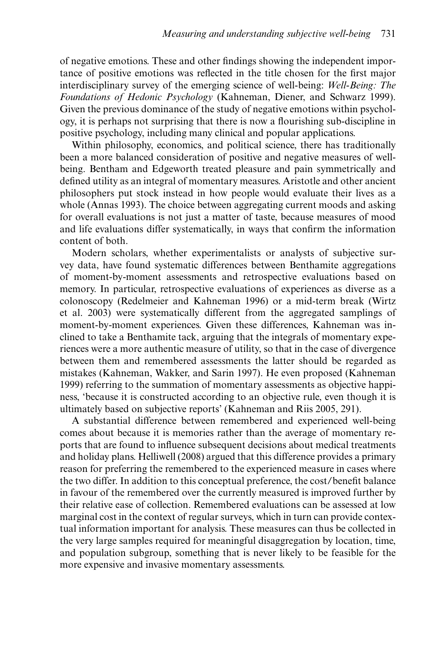of negative emotions. These and other findings showing the independent importance of positive emotions was reflected in the title chosen for the first major interdisciplinary survey of the emerging science of well-being: *Well-Being: The Foundations of Hedonic Psychology* (Kahneman, Diener, and Schwarz 1999). Given the previous dominance of the study of negative emotions within psychology, it is perhaps not surprising that there is now a flourishing sub-discipline in positive psychology, including many clinical and popular applications.

Within philosophy, economics, and political science, there has traditionally been a more balanced consideration of positive and negative measures of wellbeing. Bentham and Edgeworth treated pleasure and pain symmetrically and defined utility as an integral of momentary measures. Aristotle and other ancient philosophers put stock instead in how people would evaluate their lives as a whole (Annas 1993). The choice between aggregating current moods and asking for overall evaluations is not just a matter of taste, because measures of mood and life evaluations differ systematically, in ways that confirm the information content of both.

Modern scholars, whether experimentalists or analysts of subjective survey data, have found systematic differences between Benthamite aggregations of moment-by-moment assessments and retrospective evaluations based on memory. In particular, retrospective evaluations of experiences as diverse as a colonoscopy (Redelmeier and Kahneman 1996) or a mid-term break (Wirtz et al. 2003) were systematically different from the aggregated samplings of moment-by-moment experiences. Given these differences, Kahneman was inclined to take a Benthamite tack, arguing that the integrals of momentary experiences were a more authentic measure of utility, so that in the case of divergence between them and remembered assessments the latter should be regarded as mistakes (Kahneman, Wakker, and Sarin 1997). He even proposed (Kahneman 1999) referring to the summation of momentary assessments as objective happiness, 'because it is constructed according to an objective rule, even though it is ultimately based on subjective reports' (Kahneman and Riis 2005, 291).

A substantial difference between remembered and experienced well-being comes about because it is memories rather than the average of momentary reports that are found to influence subsequent decisions about medical treatments and holiday plans. Helliwell (2008) argued that this difference provides a primary reason for preferring the remembered to the experienced measure in cases where the two differ. In addition to this conceptual preference, the cost/benefit balance in favour of the remembered over the currently measured is improved further by their relative ease of collection. Remembered evaluations can be assessed at low marginal cost in the context of regular surveys, which in turn can provide contextual information important for analysis. These measures can thus be collected in the very large samples required for meaningful disaggregation by location, time, and population subgroup, something that is never likely to be feasible for the more expensive and invasive momentary assessments.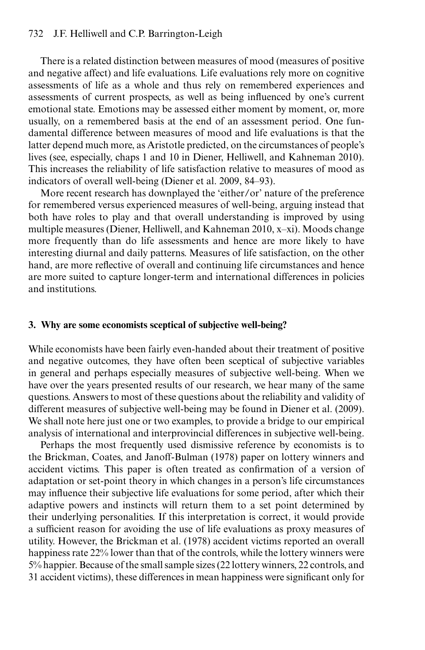## 732 J.F. Helliwell and C.P. Barrington-Leigh

There is a related distinction between measures of mood (measures of positive and negative affect) and life evaluations. Life evaluations rely more on cognitive assessments of life as a whole and thus rely on remembered experiences and assessments of current prospects, as well as being influenced by one's current emotional state. Emotions may be assessed either moment by moment, or, more usually, on a remembered basis at the end of an assessment period. One fundamental difference between measures of mood and life evaluations is that the latter depend much more, as Aristotle predicted, on the circumstances of people's lives (see, especially, chaps 1 and 10 in Diener, Helliwell, and Kahneman 2010). This increases the reliability of life satisfaction relative to measures of mood as indicators of overall well-being (Diener et al. 2009, 84–93).

More recent research has downplayed the 'either/or' nature of the preference for remembered versus experienced measures of well-being, arguing instead that both have roles to play and that overall understanding is improved by using multiple measures (Diener, Helliwell, and Kahneman 2010, x–xi). Moods change more frequently than do life assessments and hence are more likely to have interesting diurnal and daily patterns. Measures of life satisfaction, on the other hand, are more reflective of overall and continuing life circumstances and hence are more suited to capture longer-term and international differences in policies and institutions.

#### **3. Why are some economists sceptical of subjective well-being?**

While economists have been fairly even-handed about their treatment of positive and negative outcomes, they have often been sceptical of subjective variables in general and perhaps especially measures of subjective well-being. When we have over the years presented results of our research, we hear many of the same questions. Answers to most of these questions about the reliability and validity of different measures of subjective well-being may be found in Diener et al. (2009). We shall note here just one or two examples, to provide a bridge to our empirical analysis of international and interprovincial differences in subjective well-being.

Perhaps the most frequently used dismissive reference by economists is to the Brickman, Coates, and Janoff-Bulman (1978) paper on lottery winners and accident victims. This paper is often treated as confirmation of a version of adaptation or set-point theory in which changes in a person's life circumstances may influence their subjective life evaluations for some period, after which their adaptive powers and instincts will return them to a set point determined by their underlying personalities. If this interpretation is correct, it would provide a sufficient reason for avoiding the use of life evaluations as proxy measures of utility. However, the Brickman et al. (1978) accident victims reported an overall happiness rate 22% lower than that of the controls, while the lottery winners were 5% happier. Because of the small sample sizes (22 lottery winners, 22 controls, and 31 accident victims), these differences in mean happiness were significant only for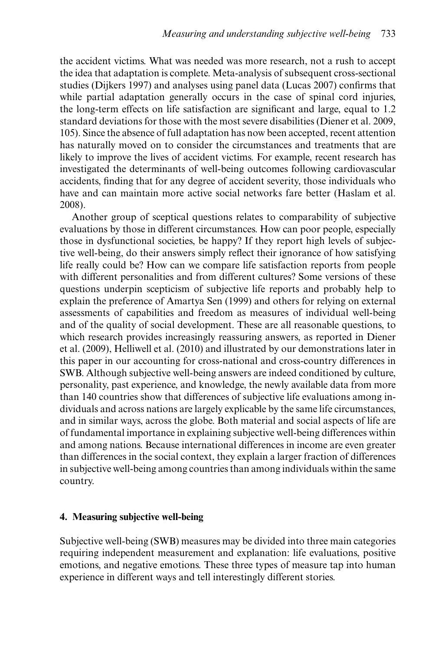the accident victims. What was needed was more research, not a rush to accept the idea that adaptation is complete. Meta-analysis of subsequent cross-sectional studies (Dijkers 1997) and analyses using panel data (Lucas 2007) confirms that while partial adaptation generally occurs in the case of spinal cord injuries, the long-term effects on life satisfaction are significant and large, equal to 1.2 standard deviations for those with the most severe disabilities (Diener et al. 2009, 105). Since the absence of full adaptation has now been accepted, recent attention has naturally moved on to consider the circumstances and treatments that are likely to improve the lives of accident victims. For example, recent research has investigated the determinants of well-being outcomes following cardiovascular accidents, finding that for any degree of accident severity, those individuals who have and can maintain more active social networks fare better (Haslam et al. 2008).

Another group of sceptical questions relates to comparability of subjective evaluations by those in different circumstances. How can poor people, especially those in dysfunctional societies, be happy? If they report high levels of subjective well-being, do their answers simply reflect their ignorance of how satisfying life really could be? How can we compare life satisfaction reports from people with different personalities and from different cultures? Some versions of these questions underpin scepticism of subjective life reports and probably help to explain the preference of Amartya Sen (1999) and others for relying on external assessments of capabilities and freedom as measures of individual well-being and of the quality of social development. These are all reasonable questions, to which research provides increasingly reassuring answers, as reported in Diener et al. (2009), Helliwell et al. (2010) and illustrated by our demonstrations later in this paper in our accounting for cross-national and cross-country differences in SWB. Although subjective well-being answers are indeed conditioned by culture, personality, past experience, and knowledge, the newly available data from more than 140 countries show that differences of subjective life evaluations among individuals and across nations are largely explicable by the same life circumstances, and in similar ways, across the globe. Both material and social aspects of life are of fundamental importance in explaining subjective well-being differences within and among nations. Because international differences in income are even greater than differences in the social context, they explain a larger fraction of differences in subjective well-being among countries than among individuals within the same country.

#### **4. Measuring subjective well-being**

Subjective well-being (SWB) measures may be divided into three main categories requiring independent measurement and explanation: life evaluations, positive emotions, and negative emotions. These three types of measure tap into human experience in different ways and tell interestingly different stories.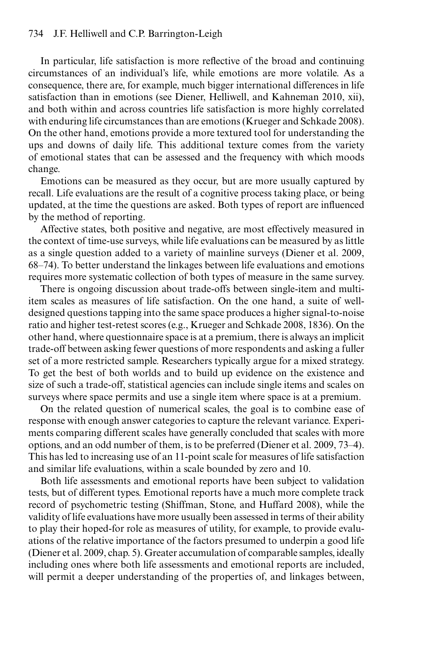In particular, life satisfaction is more reflective of the broad and continuing circumstances of an individual's life, while emotions are more volatile. As a consequence, there are, for example, much bigger international differences in life satisfaction than in emotions (see Diener, Helliwell, and Kahneman 2010, xii), and both within and across countries life satisfaction is more highly correlated with enduring life circumstances than are emotions (Krueger and Schkade 2008). On the other hand, emotions provide a more textured tool for understanding the ups and downs of daily life. This additional texture comes from the variety of emotional states that can be assessed and the frequency with which moods change.

Emotions can be measured as they occur, but are more usually captured by recall. Life evaluations are the result of a cognitive process taking place, or being updated, at the time the questions are asked. Both types of report are influenced by the method of reporting.

Affective states, both positive and negative, are most effectively measured in the context of time-use surveys, while life evaluations can be measured by as little as a single question added to a variety of mainline surveys (Diener et al. 2009, 68–74). To better understand the linkages between life evaluations and emotions requires more systematic collection of both types of measure in the same survey.

There is ongoing discussion about trade-offs between single-item and multiitem scales as measures of life satisfaction. On the one hand, a suite of welldesigned questions tapping into the same space produces a higher signal-to-noise ratio and higher test-retest scores (e.g., Krueger and Schkade 2008, 1836). On the other hand, where questionnaire space is at a premium, there is always an implicit trade-off between asking fewer questions of more respondents and asking a fuller set of a more restricted sample. Researchers typically argue for a mixed strategy. To get the best of both worlds and to build up evidence on the existence and size of such a trade-off, statistical agencies can include single items and scales on surveys where space permits and use a single item where space is at a premium.

On the related question of numerical scales, the goal is to combine ease of response with enough answer categories to capture the relevant variance. Experiments comparing different scales have generally concluded that scales with more options, and an odd number of them, is to be preferred (Diener et al. 2009, 73–4). This has led to increasing use of an 11-point scale for measures of life satisfaction and similar life evaluations, within a scale bounded by zero and 10.

Both life assessments and emotional reports have been subject to validation tests, but of different types. Emotional reports have a much more complete track record of psychometric testing (Shiffman, Stone, and Huffard 2008), while the validity of life evaluations have more usually been assessed in terms of their ability to play their hoped-for role as measures of utility, for example, to provide evaluations of the relative importance of the factors presumed to underpin a good life (Diener et al. 2009, chap. 5). Greater accumulation of comparable samples, ideally including ones where both life assessments and emotional reports are included, will permit a deeper understanding of the properties of, and linkages between,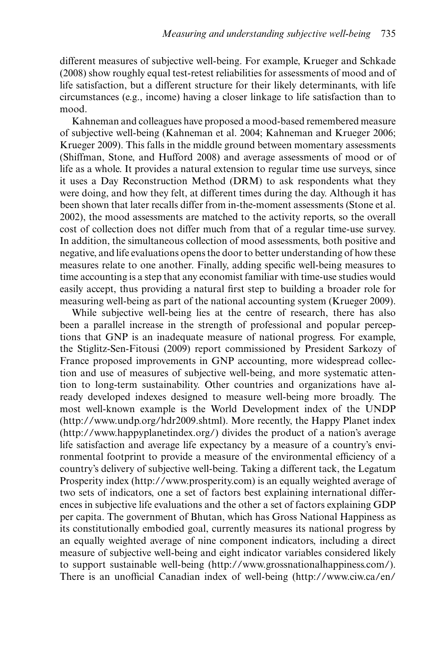different measures of subjective well-being. For example, Krueger and Schkade (2008) show roughly equal test-retest reliabilities for assessments of mood and of life satisfaction, but a different structure for their likely determinants, with life circumstances (e.g., income) having a closer linkage to life satisfaction than to mood.

Kahneman and colleagues have proposed a mood-based remembered measure of subjective well-being (Kahneman et al. 2004; Kahneman and Krueger 2006; Krueger 2009). This falls in the middle ground between momentary assessments (Shiffman, Stone, and Hufford 2008) and average assessments of mood or of life as a whole. It provides a natural extension to regular time use surveys, since it uses a Day Reconstruction Method (DRM) to ask respondents what they were doing, and how they felt, at different times during the day. Although it has been shown that later recalls differ from in-the-moment assessments (Stone et al. 2002), the mood assessments are matched to the activity reports, so the overall cost of collection does not differ much from that of a regular time-use survey. In addition, the simultaneous collection of mood assessments, both positive and negative, and life evaluations opens the door to better understanding of how these measures relate to one another. Finally, adding specific well-being measures to time accounting is a step that any economist familiar with time-use studies would easily accept, thus providing a natural first step to building a broader role for measuring well-being as part of the national accounting system (Krueger 2009).

While subjective well-being lies at the centre of research, there has also been a parallel increase in the strength of professional and popular perceptions that GNP is an inadequate measure of national progress. For example, the Stiglitz-Sen-Fitousi (2009) report commissioned by President Sarkozy of France proposed improvements in GNP accounting, more widespread collection and use of measures of subjective well-being, and more systematic attention to long-term sustainability. Other countries and organizations have already developed indexes designed to measure well-being more broadly. The most well-known example is the World Development index of the UNDP (http://www.undp.org/hdr2009.shtml). More recently, the Happy Planet index (http://www.happyplanetindex.org/) divides the product of a nation's average life satisfaction and average life expectancy by a measure of a country's environmental footprint to provide a measure of the environmental efficiency of a country's delivery of subjective well-being. Taking a different tack, the Legatum Prosperity index (http://www.prosperity.com) is an equally weighted average of two sets of indicators, one a set of factors best explaining international differences in subjective life evaluations and the other a set of factors explaining GDP per capita. The government of Bhutan, which has Gross National Happiness as its constitutionally embodied goal, currently measures its national progress by an equally weighted average of nine component indicators, including a direct measure of subjective well-being and eight indicator variables considered likely to support sustainable well-being (http://www.grossnationalhappiness.com/). There is an unofficial Canadian index of well-being (http://www.ciw.ca/en/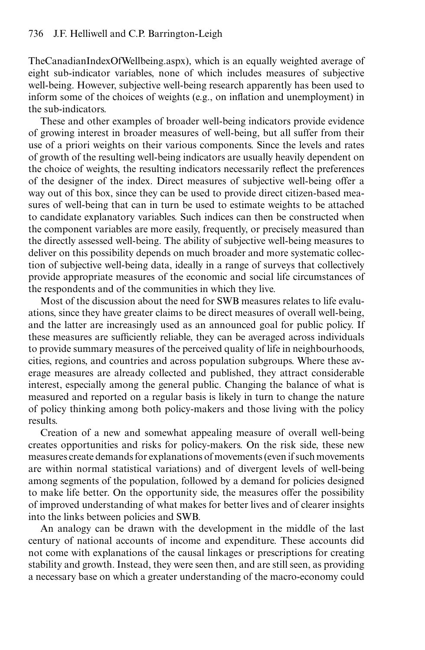TheCanadianIndexOfWellbeing.aspx), which is an equally weighted average of eight sub-indicator variables, none of which includes measures of subjective well-being. However, subjective well-being research apparently has been used to inform some of the choices of weights (e.g., on inflation and unemployment) in the sub-indicators.

These and other examples of broader well-being indicators provide evidence of growing interest in broader measures of well-being, but all suffer from their use of a priori weights on their various components. Since the levels and rates of growth of the resulting well-being indicators are usually heavily dependent on the choice of weights, the resulting indicators necessarily reflect the preferences of the designer of the index. Direct measures of subjective well-being offer a way out of this box, since they can be used to provide direct citizen-based measures of well-being that can in turn be used to estimate weights to be attached to candidate explanatory variables. Such indices can then be constructed when the component variables are more easily, frequently, or precisely measured than the directly assessed well-being. The ability of subjective well-being measures to deliver on this possibility depends on much broader and more systematic collection of subjective well-being data, ideally in a range of surveys that collectively provide appropriate measures of the economic and social life circumstances of the respondents and of the communities in which they live.

Most of the discussion about the need for SWB measures relates to life evaluations, since they have greater claims to be direct measures of overall well-being, and the latter are increasingly used as an announced goal for public policy. If these measures are sufficiently reliable, they can be averaged across individuals to provide summary measures of the perceived quality of life in neighbourhoods, cities, regions, and countries and across population subgroups. Where these average measures are already collected and published, they attract considerable interest, especially among the general public. Changing the balance of what is measured and reported on a regular basis is likely in turn to change the nature of policy thinking among both policy-makers and those living with the policy results.

Creation of a new and somewhat appealing measure of overall well-being creates opportunities and risks for policy-makers. On the risk side, these new measures create demands for explanations of movements (even if such movements are within normal statistical variations) and of divergent levels of well-being among segments of the population, followed by a demand for policies designed to make life better. On the opportunity side, the measures offer the possibility of improved understanding of what makes for better lives and of clearer insights into the links between policies and SWB.

An analogy can be drawn with the development in the middle of the last century of national accounts of income and expenditure. These accounts did not come with explanations of the causal linkages or prescriptions for creating stability and growth. Instead, they were seen then, and are still seen, as providing a necessary base on which a greater understanding of the macro-economy could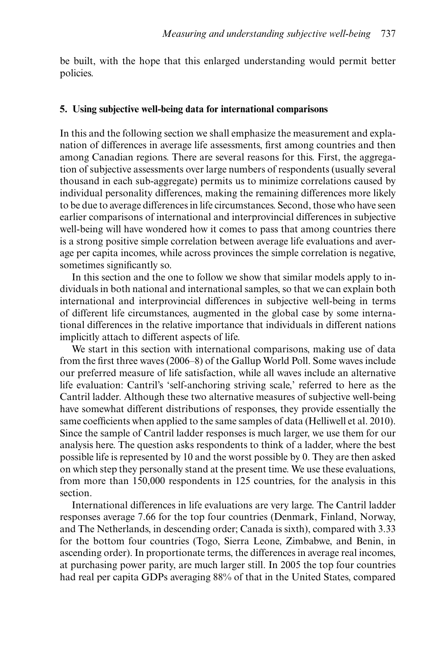be built, with the hope that this enlarged understanding would permit better policies.

#### **5. Using subjective well-being data for international comparisons**

In this and the following section we shall emphasize the measurement and explanation of differences in average life assessments, first among countries and then among Canadian regions. There are several reasons for this. First, the aggregation of subjective assessments over large numbers of respondents (usually several thousand in each sub-aggregate) permits us to minimize correlations caused by individual personality differences, making the remaining differences more likely to be due to average differences in life circumstances. Second, those who have seen earlier comparisons of international and interprovincial differences in subjective well-being will have wondered how it comes to pass that among countries there is a strong positive simple correlation between average life evaluations and average per capita incomes, while across provinces the simple correlation is negative, sometimes significantly so.

In this section and the one to follow we show that similar models apply to individuals in both national and international samples, so that we can explain both international and interprovincial differences in subjective well-being in terms of different life circumstances, augmented in the global case by some international differences in the relative importance that individuals in different nations implicitly attach to different aspects of life.

We start in this section with international comparisons, making use of data from the first three waves (2006–8) of the Gallup World Poll. Some waves include our preferred measure of life satisfaction, while all waves include an alternative life evaluation: Cantril's 'self-anchoring striving scale,' referred to here as the Cantril ladder. Although these two alternative measures of subjective well-being have somewhat different distributions of responses, they provide essentially the same coefficients when applied to the same samples of data (Helliwell et al. 2010). Since the sample of Cantril ladder responses is much larger, we use them for our analysis here. The question asks respondents to think of a ladder, where the best possible life is represented by 10 and the worst possible by 0. They are then asked on which step they personally stand at the present time. We use these evaluations, from more than 150,000 respondents in 125 countries, for the analysis in this section.

International differences in life evaluations are very large. The Cantril ladder responses average 7.66 for the top four countries (Denmark, Finland, Norway, and The Netherlands, in descending order; Canada is sixth), compared with 3.33 for the bottom four countries (Togo, Sierra Leone, Zimbabwe, and Benin, in ascending order). In proportionate terms, the differences in average real incomes, at purchasing power parity, are much larger still. In 2005 the top four countries had real per capita GDPs averaging 88% of that in the United States, compared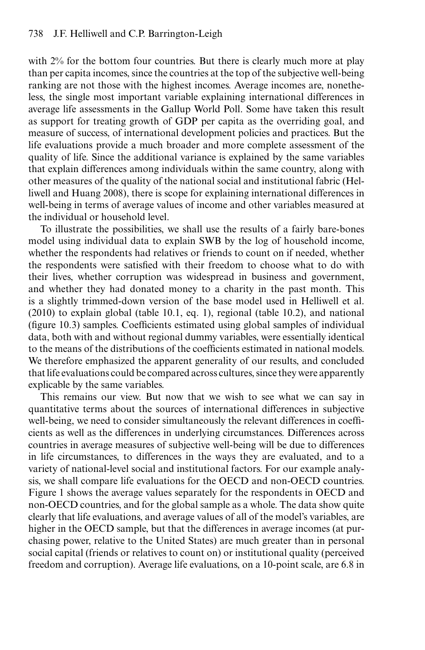with 2% for the bottom four countries. But there is clearly much more at play than per capita incomes, since the countries at the top of the subjective well-being ranking are not those with the highest incomes. Average incomes are, nonetheless, the single most important variable explaining international differences in average life assessments in the Gallup World Poll. Some have taken this result as support for treating growth of GDP per capita as the overriding goal, and measure of success, of international development policies and practices. But the life evaluations provide a much broader and more complete assessment of the quality of life. Since the additional variance is explained by the same variables that explain differences among individuals within the same country, along with other measures of the quality of the national social and institutional fabric (Helliwell and Huang 2008), there is scope for explaining international differences in well-being in terms of average values of income and other variables measured at the individual or household level.

To illustrate the possibilities, we shall use the results of a fairly bare-bones model using individual data to explain SWB by the log of household income, whether the respondents had relatives or friends to count on if needed, whether the respondents were satisfied with their freedom to choose what to do with their lives, whether corruption was widespread in business and government, and whether they had donated money to a charity in the past month. This is a slightly trimmed-down version of the base model used in Helliwell et al. (2010) to explain global (table 10.1, eq. 1), regional (table 10.2), and national (figure 10.3) samples. Coefficients estimated using global samples of individual data, both with and without regional dummy variables, were essentially identical to the means of the distributions of the coefficients estimated in national models. We therefore emphasized the apparent generality of our results, and concluded that life evaluations could be compared across cultures, since they were apparently explicable by the same variables.

This remains our view. But now that we wish to see what we can say in quantitative terms about the sources of international differences in subjective well-being, we need to consider simultaneously the relevant differences in coefficients as well as the differences in underlying circumstances. Differences across countries in average measures of subjective well-being will be due to differences in life circumstances, to differences in the ways they are evaluated, and to a variety of national-level social and institutional factors. For our example analysis, we shall compare life evaluations for the OECD and non-OECD countries. Figure 1 shows the average values separately for the respondents in OECD and non-OECD countries, and for the global sample as a whole. The data show quite clearly that life evaluations, and average values of all of the model's variables, are higher in the OECD sample, but that the differences in average incomes (at purchasing power, relative to the United States) are much greater than in personal social capital (friends or relatives to count on) or institutional quality (perceived freedom and corruption). Average life evaluations, on a 10-point scale, are 6.8 in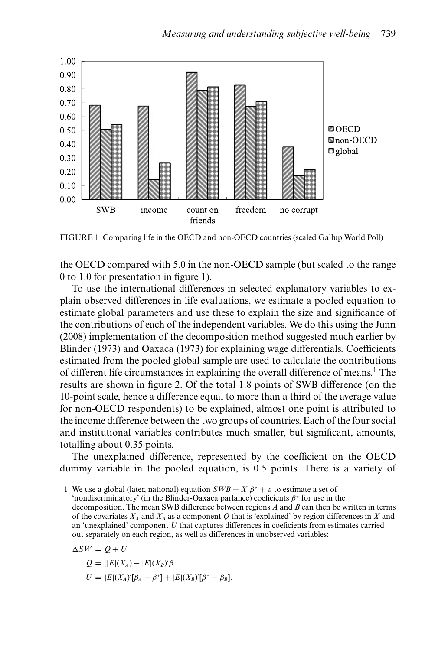

FIGURE 1 Comparing life in the OECD and non-OECD countries (scaled Gallup World Poll)

the OECD compared with 5.0 in the non-OECD sample (but scaled to the range 0 to 1.0 for presentation in figure 1).

To use the international differences in selected explanatory variables to explain observed differences in life evaluations, we estimate a pooled equation to estimate global parameters and use these to explain the size and significance of the contributions of each of the independent variables. We do this using the Junn (2008) implementation of the decomposition method suggested much earlier by Blinder (1973) and Oaxaca (1973) for explaining wage differentials. Coefficients estimated from the pooled global sample are used to calculate the contributions of different life circumstances in explaining the overall difference of means.<sup>1</sup> The results are shown in figure 2. Of the total 1.8 points of SWB difference (on the 10-point scale, hence a difference equal to more than a third of the average value for non-OECD respondents) to be explained, almost one point is attributed to the income difference between the two groups of countries. Each of the four social and institutional variables contributes much smaller, but significant, amounts, totalling about 0.35 points.

The unexplained difference, represented by the coefficient on the OECD dummy variable in the pooled equation, is 0.5 points. There is a variety of

1 We use a global (later, national) equation  $SWB = X'\beta^* + \varepsilon$  to estimate a set of 'nondiscriminatory' (in the Blinder-Oaxaca parlance) coeficients  $\beta^*$  for use in the decomposition. The mean SWB difference between regions *A* and *B* can then be written in terms of the covariates  $X_A$  and  $X_B$  as a component *Q* that is 'explained' by region differences in *X* and an 'unexplained' component *U* that captures differences in coeficients from estimates carried out separately on each region, as well as differences in unobserved variables:

$$
\Delta SW = Q + U
$$
  
\n
$$
Q = [|E|(X_A) - |E|(X_B)'\beta
$$
  
\n
$$
U = |E|(X_A)'[B_A - \beta^*] + |E|(X_B)'[B^* - \beta_B].
$$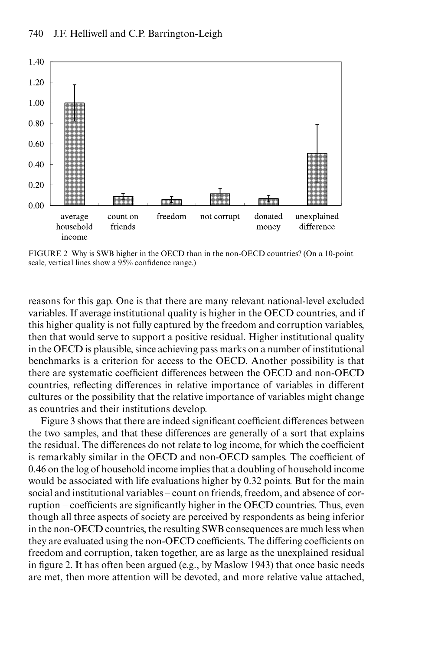

FIGURE 2 Why is SWB higher in the OECD than in the non-OECD countries? (On a 10-point scale, vertical lines show a 95% confidence range.)

reasons for this gap. One is that there are many relevant national-level excluded variables. If average institutional quality is higher in the OECD countries, and if this higher quality is not fully captured by the freedom and corruption variables, then that would serve to support a positive residual. Higher institutional quality in the OECD is plausible, since achieving pass marks on a number of institutional benchmarks is a criterion for access to the OECD. Another possibility is that there are systematic coefficient differences between the OECD and non-OECD countries, reflecting differences in relative importance of variables in different cultures or the possibility that the relative importance of variables might change as countries and their institutions develop.

Figure 3 shows that there are indeed significant coefficient differences between the two samples, and that these differences are generally of a sort that explains the residual. The differences do not relate to log income, for which the coefficient is remarkably similar in the OECD and non-OECD samples. The coefficient of 0.46 on the log of household income implies that a doubling of household income would be associated with life evaluations higher by 0.32 points. But for the main social and institutional variables – count on friends, freedom, and absence of corruption – coefficients are significantly higher in the OECD countries. Thus, even though all three aspects of society are perceived by respondents as being inferior in the non-OECD countries, the resulting SWB consequences are much less when they are evaluated using the non-OECD coefficients. The differing coefficients on freedom and corruption, taken together, are as large as the unexplained residual in figure 2. It has often been argued (e.g., by Maslow 1943) that once basic needs are met, then more attention will be devoted, and more relative value attached,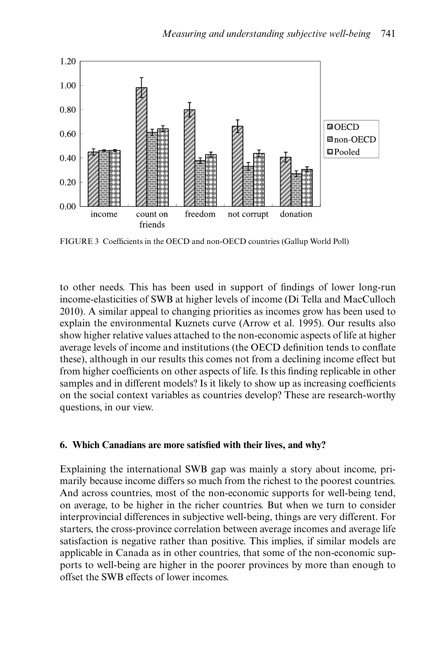

FIGURE 3 Coefficients in the OECD and non-OECD countries (Gallup World Poll)

to other needs. This has been used in support of findings of lower long-run income-elasticities of SWB at higher levels of income (Di Tella and MacCulloch 2010). A similar appeal to changing priorities as incomes grow has been used to explain the environmental Kuznets curve (Arrow et al. 1995). Our results also show higher relative values attached to the non-economic aspects of life at higher average levels of income and institutions (the OECD definition tends to conflate these), although in our results this comes not from a declining income effect but from higher coefficients on other aspects of life. Is this finding replicable in other samples and in different models? Is it likely to show up as increasing coefficients on the social context variables as countries develop? These are research-worthy questions, in our view.

# **6. Which Canadians are more satisfied with their lives, and why?**

Explaining the international SWB gap was mainly a story about income, primarily because income differs so much from the richest to the poorest countries. And across countries, most of the non-economic supports for well-being tend, on average, to be higher in the richer countries. But when we turn to consider interprovincial differences in subjective well-being, things are very different. For starters, the cross-province correlation between average incomes and average life satisfaction is negative rather than positive. This implies, if similar models are applicable in Canada as in other countries, that some of the non-economic supports to well-being are higher in the poorer provinces by more than enough to offset the SWB effects of lower incomes.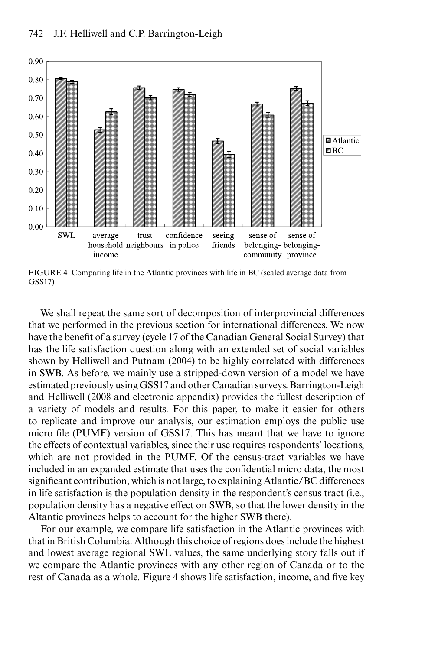

FIGURE 4 Comparing life in the Atlantic provinces with life in BC (scaled average data from GSS17)

We shall repeat the same sort of decomposition of interprovincial differences that we performed in the previous section for international differences. We now have the benefit of a survey (cycle 17 of the Canadian General Social Survey) that has the life satisfaction question along with an extended set of social variables shown by Helliwell and Putnam (2004) to be highly correlated with differences in SWB. As before, we mainly use a stripped-down version of a model we have estimated previously using GSS17 and other Canadian surveys. Barrington-Leigh and Helliwell (2008 and electronic appendix) provides the fullest description of a variety of models and results. For this paper, to make it easier for others to replicate and improve our analysis, our estimation employs the public use micro file (PUMF) version of GSS17. This has meant that we have to ignore the effects of contextual variables, since their use requires respondents' locations, which are not provided in the PUMF. Of the census-tract variables we have included in an expanded estimate that uses the confidential micro data, the most significant contribution, which is not large, to explaining Atlantic/BC differences in life satisfaction is the population density in the respondent's census tract (i.e., population density has a negative effect on SWB, so that the lower density in the Altantic provinces helps to account for the higher SWB there).

For our example, we compare life satisfaction in the Atlantic provinces with that in British Columbia. Although this choice of regions does include the highest and lowest average regional SWL values, the same underlying story falls out if we compare the Atlantic provinces with any other region of Canada or to the rest of Canada as a whole. Figure 4 shows life satisfaction, income, and five key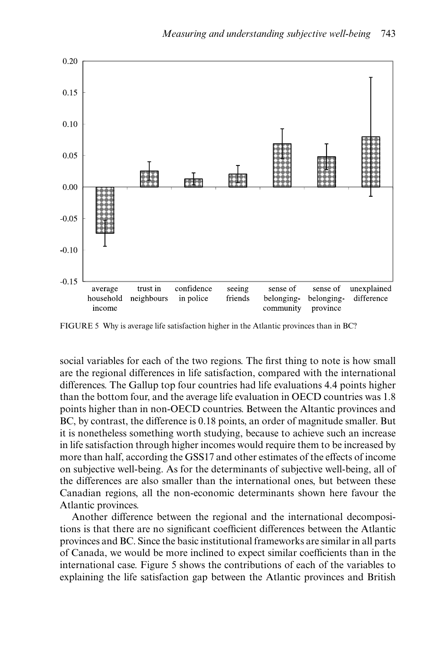

FIGURE 5 Why is average life satisfaction higher in the Atlantic provinces than in BC?

social variables for each of the two regions. The first thing to note is how small are the regional differences in life satisfaction, compared with the international differences. The Gallup top four countries had life evaluations 4.4 points higher than the bottom four, and the average life evaluation in OECD countries was 1.8 points higher than in non-OECD countries. Between the Altantic provinces and BC, by contrast, the difference is 0.18 points, an order of magnitude smaller. But it is nonetheless something worth studying, because to achieve such an increase in life satisfaction through higher incomes would require them to be increased by more than half, according the GSS17 and other estimates of the effects of income on subjective well-being. As for the determinants of subjective well-being, all of the differences are also smaller than the international ones, but between these Canadian regions, all the non-economic determinants shown here favour the Atlantic provinces.

Another difference between the regional and the international decompositions is that there are no significant coefficient differences between the Atlantic provinces and BC. Since the basic institutional frameworks are similar in all parts of Canada, we would be more inclined to expect similar coefficients than in the international case. Figure 5 shows the contributions of each of the variables to explaining the life satisfaction gap between the Atlantic provinces and British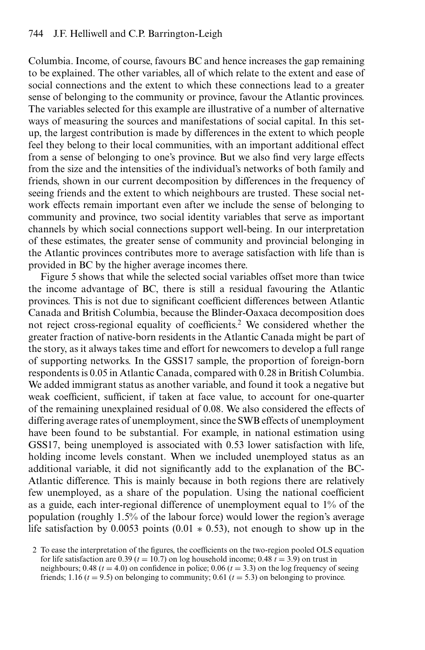Columbia. Income, of course, favours BC and hence increases the gap remaining to be explained. The other variables, all of which relate to the extent and ease of social connections and the extent to which these connections lead to a greater sense of belonging to the community or province, favour the Atlantic provinces. The variables selected for this example are illustrative of a number of alternative ways of measuring the sources and manifestations of social capital. In this setup, the largest contribution is made by differences in the extent to which people feel they belong to their local communities, with an important additional effect from a sense of belonging to one's province. But we also find very large effects from the size and the intensities of the individual's networks of both family and friends, shown in our current decomposition by differences in the frequency of seeing friends and the extent to which neighbours are trusted. These social network effects remain important even after we include the sense of belonging to community and province, two social identity variables that serve as important channels by which social connections support well-being. In our interpretation of these estimates, the greater sense of community and provincial belonging in the Atlantic provinces contributes more to average satisfaction with life than is provided in BC by the higher average incomes there.

Figure 5 shows that while the selected social variables offset more than twice the income advantage of BC, there is still a residual favouring the Atlantic provinces. This is not due to significant coefficient differences between Atlantic Canada and British Columbia, because the Blinder-Oaxaca decomposition does not reject cross-regional equality of coefficients.<sup>2</sup> We considered whether the greater fraction of native-born residents in the Atlantic Canada might be part of the story, as it always takes time and effort for newcomers to develop a full range of supporting networks. In the GSS17 sample, the proportion of foreign-born respondents is 0.05 in Atlantic Canada, compared with 0.28 in British Columbia. We added immigrant status as another variable, and found it took a negative but weak coefficient, sufficient, if taken at face value, to account for one-quarter of the remaining unexplained residual of 0.08. We also considered the effects of differing average rates of unemployment, since the SWB effects of unemployment have been found to be substantial. For example, in national estimation using GSS17, being unemployed is associated with 0.53 lower satisfaction with life, holding income levels constant. When we included unemployed status as an additional variable, it did not significantly add to the explanation of the BC-Atlantic difference. This is mainly because in both regions there are relatively few unemployed, as a share of the population. Using the national coefficient as a guide, each inter-regional difference of unemployment equal to 1% of the population (roughly 1.5% of the labour force) would lower the region's average life satisfaction by 0.0053 points  $(0.01 \times 0.53)$ , not enough to show up in the

<sup>2</sup> To ease the interpretation of the figures, the coefficients on the two-region pooled OLS equation for life satisfaction are 0.39 ( $t = 10.7$ ) on log household income; 0.48  $t = 3.9$ ) on trust in neighbours;  $0.48$  ( $t = 4.0$ ) on confidence in police;  $0.06$  ( $t = 3.3$ ) on the log frequency of seeing friends; 1.16 ( $t = 9.5$ ) on belonging to community; 0.61 ( $t = 5.3$ ) on belonging to province.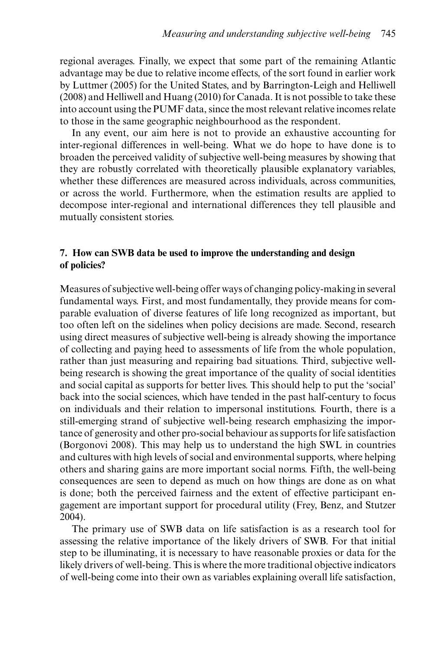regional averages. Finally, we expect that some part of the remaining Atlantic advantage may be due to relative income effects, of the sort found in earlier work by Luttmer (2005) for the United States, and by Barrington-Leigh and Helliwell (2008) and Helliwell and Huang (2010) for Canada. It is not possible to take these into account using the PUMF data, since the most relevant relative incomes relate to those in the same geographic neighbourhood as the respondent.

In any event, our aim here is not to provide an exhaustive accounting for inter-regional differences in well-being. What we do hope to have done is to broaden the perceived validity of subjective well-being measures by showing that they are robustly correlated with theoretically plausible explanatory variables, whether these differences are measured across individuals, across communities, or across the world. Furthermore, when the estimation results are applied to decompose inter-regional and international differences they tell plausible and mutually consistent stories.

# **7. How can SWB data be used to improve the understanding and design of policies?**

Measures of subjective well-being offer ways of changing policy-making in several fundamental ways. First, and most fundamentally, they provide means for comparable evaluation of diverse features of life long recognized as important, but too often left on the sidelines when policy decisions are made. Second, research using direct measures of subjective well-being is already showing the importance of collecting and paying heed to assessments of life from the whole population, rather than just measuring and repairing bad situations. Third, subjective wellbeing research is showing the great importance of the quality of social identities and social capital as supports for better lives. This should help to put the 'social' back into the social sciences, which have tended in the past half-century to focus on individuals and their relation to impersonal institutions. Fourth, there is a still-emerging strand of subjective well-being research emphasizing the importance of generosity and other pro-social behaviour as supports for life satisfaction (Borgonovi 2008). This may help us to understand the high SWL in countries and cultures with high levels of social and environmental supports, where helping others and sharing gains are more important social norms. Fifth, the well-being consequences are seen to depend as much on how things are done as on what is done; both the perceived fairness and the extent of effective participant engagement are important support for procedural utility (Frey, Benz, and Stutzer 2004).

The primary use of SWB data on life satisfaction is as a research tool for assessing the relative importance of the likely drivers of SWB. For that initial step to be illuminating, it is necessary to have reasonable proxies or data for the likely drivers of well-being. This is where the more traditional objective indicators of well-being come into their own as variables explaining overall life satisfaction,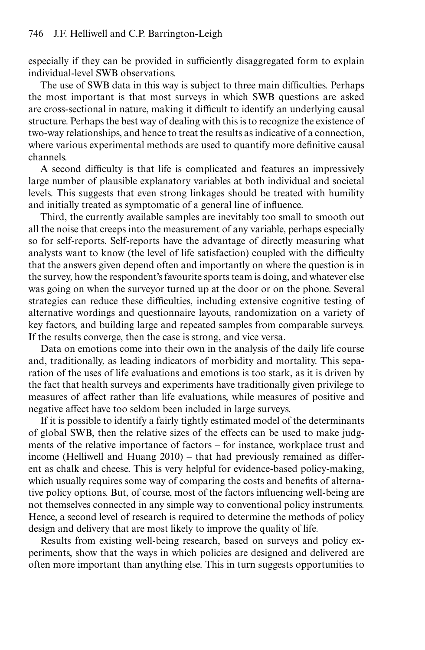especially if they can be provided in sufficiently disaggregated form to explain individual-level SWB observations.

The use of SWB data in this way is subject to three main difficulties. Perhaps the most important is that most surveys in which SWB questions are asked are cross-sectional in nature, making it difficult to identify an underlying causal structure. Perhaps the best way of dealing with this is to recognize the existence of two-way relationships, and hence to treat the results as indicative of a connection, where various experimental methods are used to quantify more definitive causal channels.

A second difficulty is that life is complicated and features an impressively large number of plausible explanatory variables at both individual and societal levels. This suggests that even strong linkages should be treated with humility and initially treated as symptomatic of a general line of influence.

Third, the currently available samples are inevitably too small to smooth out all the noise that creeps into the measurement of any variable, perhaps especially so for self-reports. Self-reports have the advantage of directly measuring what analysts want to know (the level of life satisfaction) coupled with the difficulty that the answers given depend often and importantly on where the question is in the survey, how the respondent's favourite sports team is doing, and whatever else was going on when the surveyor turned up at the door or on the phone. Several strategies can reduce these difficulties, including extensive cognitive testing of alternative wordings and questionnaire layouts, randomization on a variety of key factors, and building large and repeated samples from comparable surveys. If the results converge, then the case is strong, and vice versa.

Data on emotions come into their own in the analysis of the daily life course and, traditionally, as leading indicators of morbidity and mortality. This separation of the uses of life evaluations and emotions is too stark, as it is driven by the fact that health surveys and experiments have traditionally given privilege to measures of affect rather than life evaluations, while measures of positive and negative affect have too seldom been included in large surveys.

If it is possible to identify a fairly tightly estimated model of the determinants of global SWB, then the relative sizes of the effects can be used to make judgments of the relative importance of factors – for instance, workplace trust and income (Helliwell and Huang 2010) – that had previously remained as different as chalk and cheese. This is very helpful for evidence-based policy-making, which usually requires some way of comparing the costs and benefits of alternative policy options. But, of course, most of the factors influencing well-being are not themselves connected in any simple way to conventional policy instruments. Hence, a second level of research is required to determine the methods of policy design and delivery that are most likely to improve the quality of life.

Results from existing well-being research, based on surveys and policy experiments, show that the ways in which policies are designed and delivered are often more important than anything else. This in turn suggests opportunities to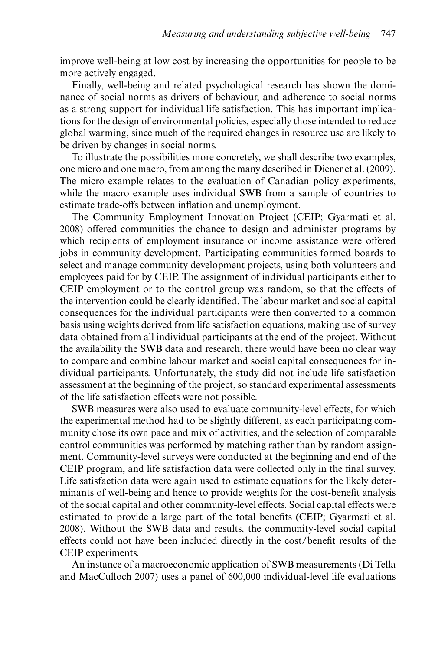improve well-being at low cost by increasing the opportunities for people to be more actively engaged.

Finally, well-being and related psychological research has shown the dominance of social norms as drivers of behaviour, and adherence to social norms as a strong support for individual life satisfaction. This has important implications for the design of environmental policies, especially those intended to reduce global warming, since much of the required changes in resource use are likely to be driven by changes in social norms.

To illustrate the possibilities more concretely, we shall describe two examples, one micro and one macro, from among the many described in Diener et al. (2009). The micro example relates to the evaluation of Canadian policy experiments, while the macro example uses individual SWB from a sample of countries to estimate trade-offs between inflation and unemployment.

The Community Employment Innovation Project (CEIP; Gyarmati et al. 2008) offered communities the chance to design and administer programs by which recipients of employment insurance or income assistance were offered jobs in community development. Participating communities formed boards to select and manage community development projects, using both volunteers and employees paid for by CEIP. The assignment of individual participants either to CEIP employment or to the control group was random, so that the effects of the intervention could be clearly identified. The labour market and social capital consequences for the individual participants were then converted to a common basis using weights derived from life satisfaction equations, making use of survey data obtained from all individual participants at the end of the project. Without the availability the SWB data and research, there would have been no clear way to compare and combine labour market and social capital consequences for individual participants. Unfortunately, the study did not include life satisfaction assessment at the beginning of the project, so standard experimental assessments of the life satisfaction effects were not possible.

SWB measures were also used to evaluate community-level effects, for which the experimental method had to be slightly different, as each participating community chose its own pace and mix of activities, and the selection of comparable control communities was performed by matching rather than by random assignment. Community-level surveys were conducted at the beginning and end of the CEIP program, and life satisfaction data were collected only in the final survey. Life satisfaction data were again used to estimate equations for the likely determinants of well-being and hence to provide weights for the cost-benefit analysis of the social capital and other community-level effects. Social capital effects were estimated to provide a large part of the total benefits (CEIP; Gyarmati et al. 2008). Without the SWB data and results, the community-level social capital effects could not have been included directly in the cost/benefit results of the CEIP experiments.

An instance of a macroeconomic application of SWB measurements (Di Tella and MacCulloch 2007) uses a panel of 600,000 individual-level life evaluations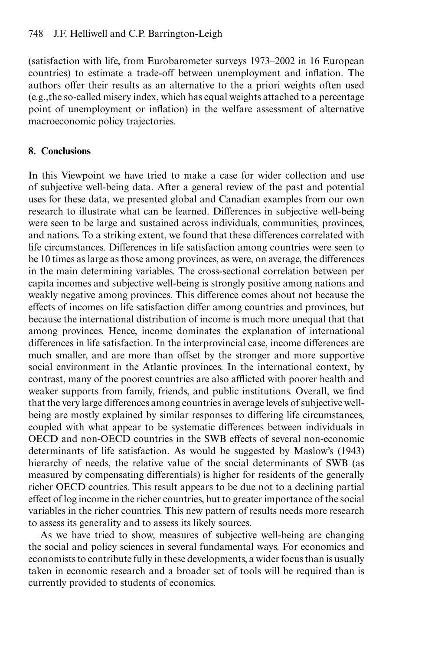(satisfaction with life, from Eurobarometer surveys 1973–2002 in 16 European countries) to estimate a trade-off between unemployment and inflation. The authors offer their results as an alternative to the a priori weights often used (e.g.,the so-called misery index, which has equal weights attached to a percentage point of unemployment or inflation) in the welfare assessment of alternative macroeconomic policy trajectories.

# **8. Conclusions**

In this Viewpoint we have tried to make a case for wider collection and use of subjective well-being data. After a general review of the past and potential uses for these data, we presented global and Canadian examples from our own research to illustrate what can be learned. Differences in subjective well-being were seen to be large and sustained across individuals, communities, provinces, and nations. To a striking extent, we found that these differences correlated with life circumstances. Differences in life satisfaction among countries were seen to be 10 times as large as those among provinces, as were, on average, the differences in the main determining variables. The cross-sectional correlation between per capita incomes and subjective well-being is strongly positive among nations and weakly negative among provinces. This difference comes about not because the effects of incomes on life satisfaction differ among countries and provinces, but because the international distribution of income is much more unequal that that among provinces. Hence, income dominates the explanation of international differences in life satisfaction. In the interprovincial case, income differences are much smaller, and are more than offset by the stronger and more supportive social environment in the Atlantic provinces. In the international context, by contrast, many of the poorest countries are also afflicted with poorer health and weaker supports from family, friends, and public institutions. Overall, we find that the very large differences among countries in average levels of subjective wellbeing are mostly explained by similar responses to differing life circumstances, coupled with what appear to be systematic differences between individuals in OECD and non-OECD countries in the SWB effects of several non-economic determinants of life satisfaction. As would be suggested by Maslow's (1943) hierarchy of needs, the relative value of the social determinants of SWB (as measured by compensating differentials) is higher for residents of the generally richer OECD countries. This result appears to be due not to a declining partial effect of log income in the richer countries, but to greater importance of the social variables in the richer countries. This new pattern of results needs more research to assess its generality and to assess its likely sources.

As we have tried to show, measures of subjective well-being are changing the social and policy sciences in several fundamental ways. For economics and economists to contribute fully in these developments, a wider focus than is usually taken in economic research and a broader set of tools will be required than is currently provided to students of economics.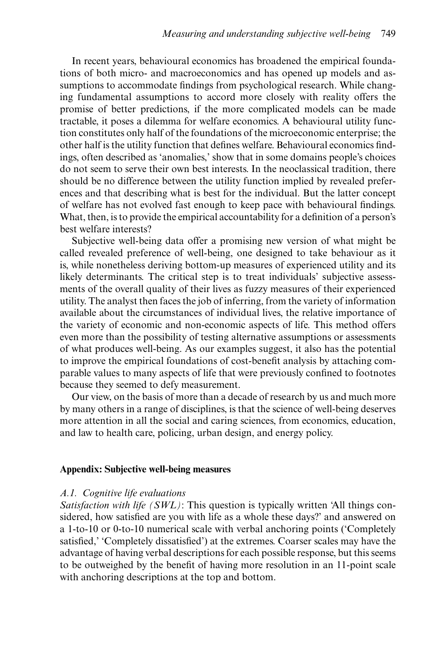In recent years, behavioural economics has broadened the empirical foundations of both micro- and macroeconomics and has opened up models and assumptions to accommodate findings from psychological research. While changing fundamental assumptions to accord more closely with reality offers the promise of better predictions, if the more complicated models can be made tractable, it poses a dilemma for welfare economics. A behavioural utility function constitutes only half of the foundations of the microeconomic enterprise; the other half is the utility function that defines welfare. Behavioural economics findings, often described as 'anomalies,' show that in some domains people's choices do not seem to serve their own best interests. In the neoclassical tradition, there should be no difference between the utility function implied by revealed preferences and that describing what is best for the individual. But the latter concept of welfare has not evolved fast enough to keep pace with behavioural findings. What, then, is to provide the empirical accountability for a definition of a person's best welfare interests?

Subjective well-being data offer a promising new version of what might be called revealed preference of well-being, one designed to take behaviour as it is, while nonetheless deriving bottom-up measures of experienced utility and its likely determinants. The critical step is to treat individuals' subjective assessments of the overall quality of their lives as fuzzy measures of their experienced utility. The analyst then faces the job of inferring, from the variety of information available about the circumstances of individual lives, the relative importance of the variety of economic and non-economic aspects of life. This method offers even more than the possibility of testing alternative assumptions or assessments of what produces well-being. As our examples suggest, it also has the potential to improve the empirical foundations of cost-benefit analysis by attaching comparable values to many aspects of life that were previously confined to footnotes because they seemed to defy measurement.

Our view, on the basis of more than a decade of research by us and much more by many others in a range of disciplines, is that the science of well-being deserves more attention in all the social and caring sciences, from economics, education, and law to health care, policing, urban design, and energy policy.

#### **Appendix: Subjective well-being measures**

#### *A.1. Cognitive life evaluations*

*Satisfaction with life (SWL)*: This question is typically written 'All things considered, how satisfied are you with life as a whole these days?' and answered on a 1-to-10 or 0-to-10 numerical scale with verbal anchoring points ('Completely satisfied,' 'Completely dissatisfied') at the extremes. Coarser scales may have the advantage of having verbal descriptions for each possible response, but this seems to be outweighed by the benefit of having more resolution in an 11-point scale with anchoring descriptions at the top and bottom.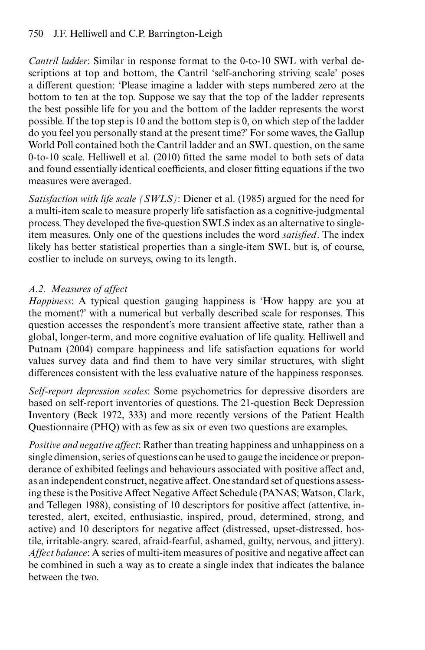*Cantril ladder*: Similar in response format to the 0-to-10 SWL with verbal descriptions at top and bottom, the Cantril 'self-anchoring striving scale' poses a different question: 'Please imagine a ladder with steps numbered zero at the bottom to ten at the top. Suppose we say that the top of the ladder represents the best possible life for you and the bottom of the ladder represents the worst possible. If the top step is 10 and the bottom step is 0, on which step of the ladder do you feel you personally stand at the present time?' For some waves, the Gallup World Poll contained both the Cantril ladder and an SWL question, on the same 0-to-10 scale. Helliwell et al. (2010) fitted the same model to both sets of data and found essentially identical coefficients, and closer fitting equations if the two measures were averaged.

*Satisfaction with life scale (SWLS)*: Diener et al. (1985) argued for the need for a multi-item scale to measure properly life satisfaction as a cognitive-judgmental process. They developed the five-question SWLS index as an alternative to singleitem measures. Only one of the questions includes the word *satisfied*. The index likely has better statistical properties than a single-item SWL but is, of course, costlier to include on surveys, owing to its length.

# *A.2. Measures of affect*

*Happiness*: A typical question gauging happiness is 'How happy are you at the moment?' with a numerical but verbally described scale for responses. This question accesses the respondent's more transient affective state, rather than a global, longer-term, and more cognitive evaluation of life quality. Helliwell and Putnam (2004) compare happineess and life satisfaction equations for world values survey data and find them to have very similar structures, with slight differences consistent with the less evaluative nature of the happiness responses.

*Self-report depression scales*: Some psychometrics for depressive disorders are based on self-report inventories of questions. The 21-question Beck Depression Inventory (Beck 1972, 333) and more recently versions of the Patient Health Questionnaire (PHQ) with as few as six or even two questions are examples.

*Positive and negative affect*: Rather than treating happiness and unhappiness on a single dimension, series of questions can be used to gauge the incidence or preponderance of exhibited feelings and behaviours associated with positive affect and, as an independent construct, negative affect. One standard set of questions assessing these is the Positive Affect Negative Affect Schedule (PANAS; Watson, Clark, and Tellegen 1988), consisting of 10 descriptors for positive affect (attentive, interested, alert, excited, enthusiastic, inspired, proud, determined, strong, and active) and 10 descriptors for negative affect (distressed, upset-distressed, hostile, irritable-angry. scared, afraid-fearful, ashamed, guilty, nervous, and jittery). *Affect balance*: A series of multi-item measures of positive and negative affect can be combined in such a way as to create a single index that indicates the balance between the two.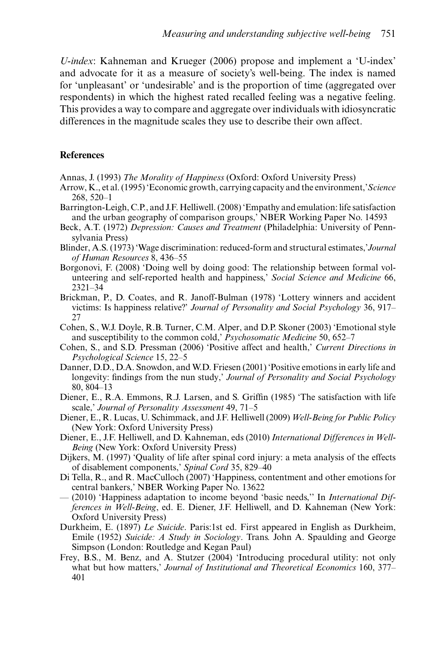*U-index*: Kahneman and Krueger (2006) propose and implement a 'U-index' and advocate for it as a measure of society's well-being. The index is named for 'unpleasant' or 'undesirable' and is the proportion of time (aggregated over respondents) in which the highest rated recalled feeling was a negative feeling. This provides a way to compare and aggregate over individuals with idiosyncratic differences in the magnitude scales they use to describe their own affect.

## **References**

- Annas, J. (1993) *The Morality of Happiness* (Oxford: Oxford University Press)
- Arrow, K., et al. (1995) 'Economic growth, carrying capacity and the environment,'*Science* 268, 520–1
- Barrington-Leigh, C.P., and J.F. Helliwell. (2008) 'Empathy and emulation: life satisfaction and the urban geography of comparison groups,' NBER Working Paper No. 14593
- Beck, A.T. (1972) *Depression: Causes and Treatment* (Philadelphia: University of Pennsylvania Press)
- Blinder, A.S. (1973) 'Wage discrimination: reduced-form and structural estimates,'*Journal of Human Resources* 8, 436–55
- Borgonovi, F. (2008) 'Doing well by doing good: The relationship between formal volunteering and self-reported health and happiness,' *Social Science and Medicine* 66, 2321–34
- Brickman, P., D. Coates, and R. Janoff-Bulman (1978) 'Lottery winners and accident victims: Is happiness relative?' *Journal of Personality and Social Psychology* 36, 917– 27
- Cohen, S., W.J. Doyle, R.B. Turner, C.M. Alper, and D.P. Skoner (2003) 'Emotional style and susceptibility to the common cold,' *Psychosomatic Medicine* 50, 652–7
- Cohen, S., and S.D. Pressman (2006) 'Positive affect and health,' *Current Directions in Psychological Science* 15, 22–5
- Danner, D.D., D.A. Snowdon, and W.D. Friesen (2001) 'Positive emotions in early life and longevity: findings from the nun study,' *Journal of Personality and Social Psychology* 80, 804–13
- Diener, E., R.A. Emmons, R.J. Larsen, and S. Griffin (1985) 'The satisfaction with life scale,' *Journal of Personality Assessment* 49, 71–5
- Diener, E., R. Lucas, U. Schimmack, and J.F. Helliwell (2009) *Well-Being for Public Policy* (New York: Oxford University Press)
- Diener, E., J.F. Helliwell, and D. Kahneman, eds (2010) *International Differences in Well-Being* (New York: Oxford University Press)
- Dijkers, M. (1997) 'Quality of life after spinal cord injury: a meta analysis of the effects of disablement components,' *Spinal Cord* 35, 829–40
- Di Tella, R., and R. MacCulloch (2007) 'Happiness, contentment and other emotions for central bankers,' NBER Working Paper No. 13622
- (2010) 'Happiness adaptation to income beyond 'basic needs,'' In *International Differences in Well-Being*, ed. E. Diener, J.F. Helliwell, and D. Kahneman (New York: Oxford University Press)
- Durkheim, E. (1897) *Le Suicide*. Paris:1st ed. First appeared in English as Durkheim, Emile (1952) *Suicide: A Study in Sociology*. Trans. John A. Spaulding and George Simpson (London: Routledge and Kegan Paul)
- Frey, B.S., M. Benz, and A. Stutzer (2004) 'Introducing procedural utility: not only what but how matters,' *Journal of Institutional and Theoretical Economics* 160, 377– 401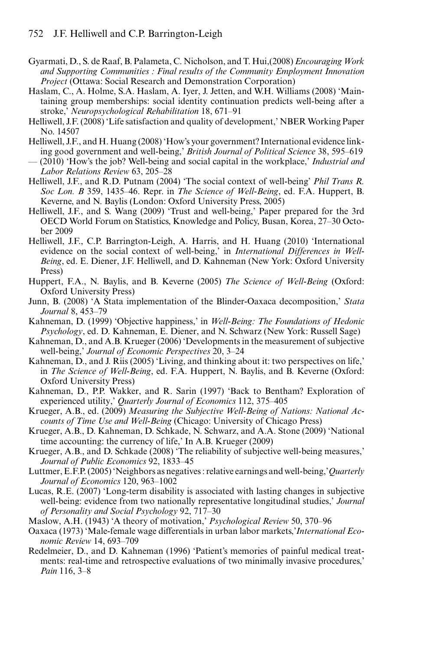- Gyarmati, D., S. de Raaf, B. Palameta, C. Nicholson, and T. Hui,(2008) *Encouraging Work and Supporting Communities : Final results of the Community Employment Innovation Project* (Ottawa: Social Research and Demonstration Corporation)
- Haslam, C., A. Holme, S.A. Haslam, A. Iyer, J. Jetten, and W.H. Williams (2008) 'Maintaining group memberships: social identity continuation predicts well-being after a stroke,' *Neuropsychological Rehabilitation* 18, 671–91
- Helliwell, J.F. (2008) 'Life satisfaction and quality of development,' NBER Working Paper No. 14507
- Helliwell, J.F., and H. Huang (2008) 'How's your government? International evidence linking good government and well-being,' *British Journal of Political Science* 38, 595–619 — (2010) 'How's the job? Well-being and social capital in the workplace,' *Industrial and Labor Relations Review* 63, 205–28
- Helliwell, J.F., and R.D. Putnam (2004) 'The social context of well-being' *Phil Trans R. Soc Lon. B* 359, 1435–46. Repr. in *The Science of Well-Being*, ed. F.A. Huppert, B. Keverne, and N. Baylis (London: Oxford University Press, 2005)
- Helliwell, J.F., and S. Wang (2009) 'Trust and well-being,' Paper prepared for the 3rd OECD World Forum on Statistics, Knowledge and Policy, Busan, Korea, 27–30 October 2009
- Helliwell, J.F., C.P. Barrington-Leigh, A. Harris, and H. Huang (2010) 'International evidence on the social context of well-being,' in *International Differences in Well-Being*, ed. E. Diener, J.F. Helliwell, and D. Kahneman (New York: Oxford University Press)
- Huppert, F.A., N. Baylis, and B. Keverne (2005) *The Science of Well-Being* (Oxford: Oxford University Press)
- Junn, B. (2008) 'A Stata implementation of the Blinder-Oaxaca decomposition,' *Stata Journal* 8, 453–79
- Kahneman, D. (1999) 'Objective happiness,' in *Well-Being: The Foundations of Hedonic Psychology*, ed. D. Kahneman, E. Diener, and N. Schwarz (New York: Russell Sage)
- Kahneman, D., and A.B. Krueger (2006) 'Developments in the measurement of subjective well-being,' *Journal of Economic Perspectives* 20, 3–24
- Kahneman, D., and J. Riis (2005) 'Living, and thinking about it: two perspectives on life,' in *The Science of Well-Being*, ed. F.A. Huppert, N. Baylis, and B. Keverne (Oxford: Oxford University Press)
- Kahneman, D., P.P. Wakker, and R. Sarin (1997) 'Back to Bentham? Exploration of experienced utility,' *Quarterly Journal of Economics* 112, 375–405
- Krueger, A.B., ed. (2009) *Measuring the Subjective Well-Being of Nations: National Accounts of Time Use and Well-Being* (Chicago: University of Chicago Press)
- Krueger, A.B., D. Kahneman, D. Schkade, N. Schwarz, and A.A. Stone (2009) 'National time accounting: the currency of life,' In A.B. Krueger (2009)
- Krueger, A.B., and D. Schkade (2008) 'The reliability of subjective well-being measures,' *Journal of Public Economics* 92, 1833–45
- Luttmer, E.F.P. (2005) 'Neighbors as negatives : relative earnings and well-being,'*Quarterly Journal of Economics* 120, 963–1002
- Lucas, R.E. (2007) 'Long-term disability is associated with lasting changes in subjective well-being: evidence from two nationally representative longitudinal studies,' *Journal of Personality and Social Psychology* 92, 717–30
- Maslow, A.H. (1943) 'A theory of motivation,' *Psychological Review* 50, 370–96
- Oaxaca (1973) 'Male-female wage differentials in urban labor markets,'*International Economic Review* 14, 693–709
- Redelmeier, D., and D. Kahneman (1996) 'Patient's memories of painful medical treatments: real-time and retrospective evaluations of two minimally invasive procedures,' *Pain* 116, 3–8